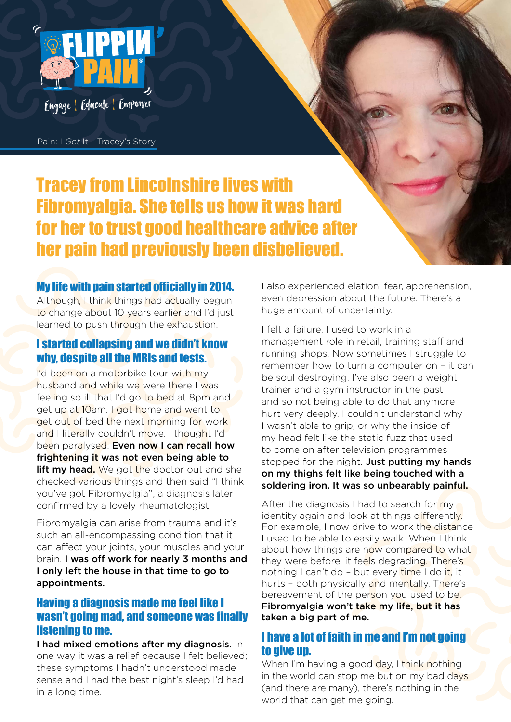

Pain: I *Get* It - Tracey's Story

# Tracey from Lincolnshire lives with Fibromyalgia. She tells us how it was hard for her to trust good healthcare advice after her pain had previously been disbelieved.

#### My life with pain started officially in 2014.

Although, I think things had actually begun to change about 10 years earlier and I'd just learned to push through the exhaustion.

## I started collapsing and we didn't know why, despite all the MRIs and tests.

I'd been on a motorbike tour with my husband and while we were there I was feeling so ill that I'd go to bed at 8pm and get up at 10am. I got home and went to get out of bed the next morning for work and I literally couldn't move. I thought I'd been paralysed. Even now I can recall how frightening it was not even being able to **lift my head.** We got the doctor out and she checked various things and then said ''I think you've got Fibromyalgia'', a diagnosis later confirmed by a lovely rheumatologist.

Fibromyalgia can arise from trauma and it's such an all-encompassing condition that it can affect your joints, your muscles and your brain. I was off work for nearly 3 months and I only left the house in that time to go to appointments.

## Having a diagnosis made me feel like I wasn't going mad, and someone was finally listening to me.

I had mixed emotions after my diagnosis. In one way it was a relief because I felt believed; these symptoms I hadn't understood made sense and I had the best night's sleep I'd had in a long time.

I also experienced elation, fear, apprehension, even depression about the future. There's a huge amount of uncertainty.

I felt a failure. I used to work in a management role in retail, training staff and running shops. Now sometimes I struggle to remember how to turn a computer on – it can be soul destroying. I've also been a weight trainer and a gym instructor in the past and so not being able to do that anymore hurt very deeply. I couldn't understand why I wasn't able to grip, or why the inside of my head felt like the static fuzz that used to come on after television programmes stopped for the night. Just putting my hands on my thighs felt like being touched with a soldering iron. It was so unbearably painful.

After the diagnosis I had to search for my identity again and look at things differently. For example, I now drive to work the distance I used to be able to easily walk. When I think about how things are now compared to what they were before, it feels degrading. There's nothing I can't do - but every time I do it, it hurts – both physically and mentally. There's bereavement of the person you used to be. Fibromyalgia won't take my life, but it has taken a big part of me.

## I have a lot of faith in me and I'm not going to give up.

When I'm having a good day, I think nothing in the world can stop me but on my bad days (and there are many), there's nothing in the world that can get me going.